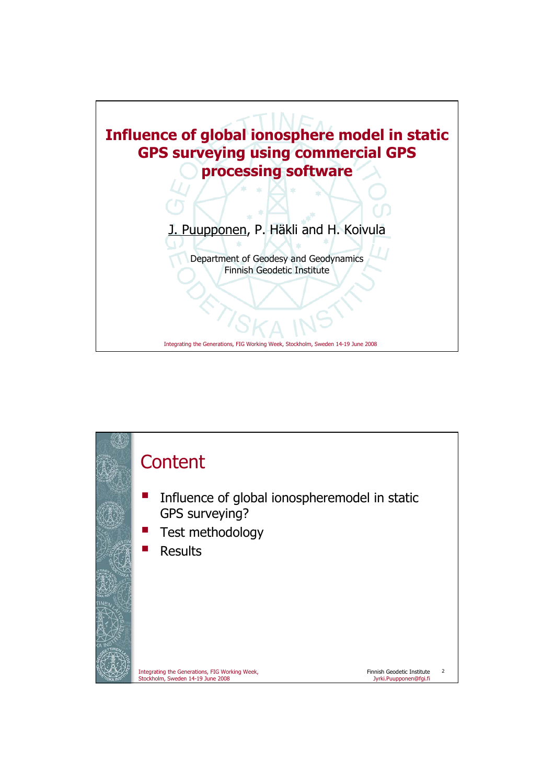

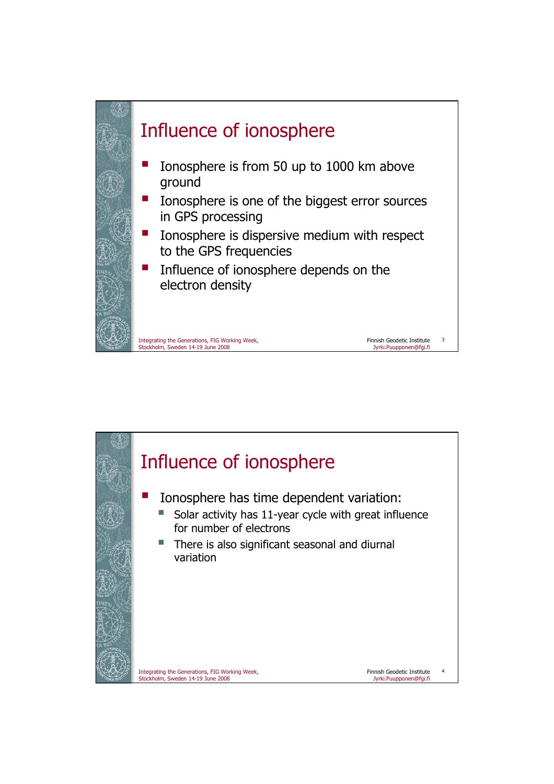

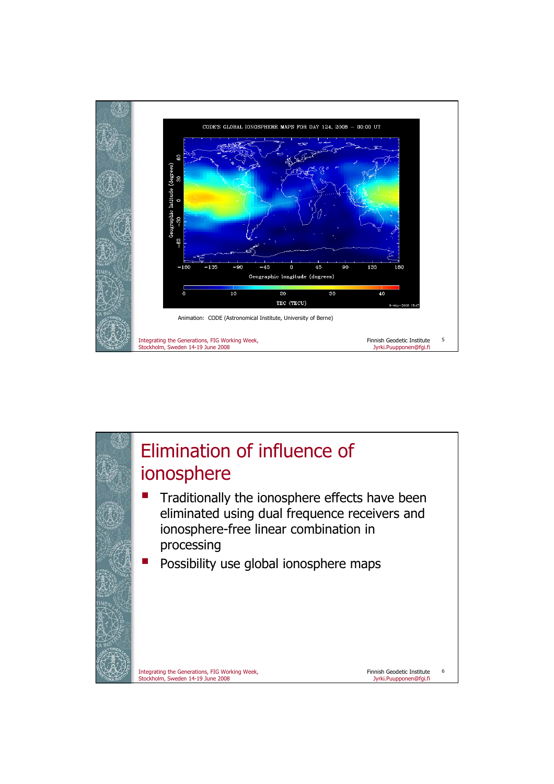

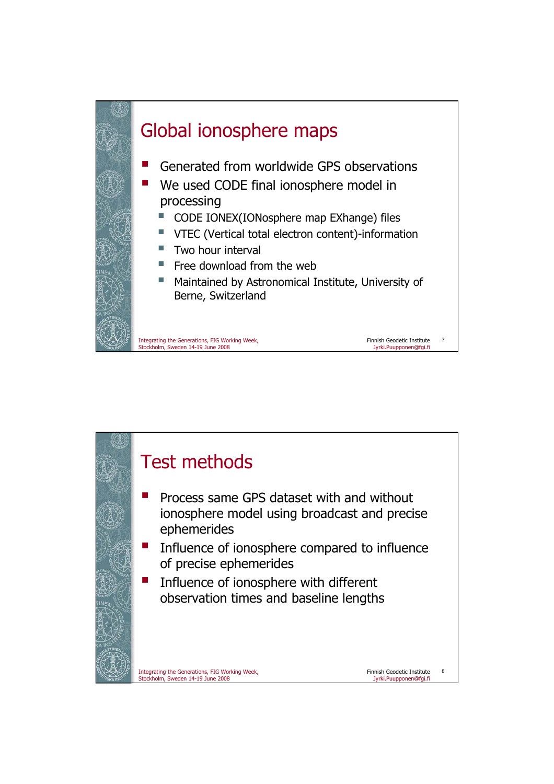

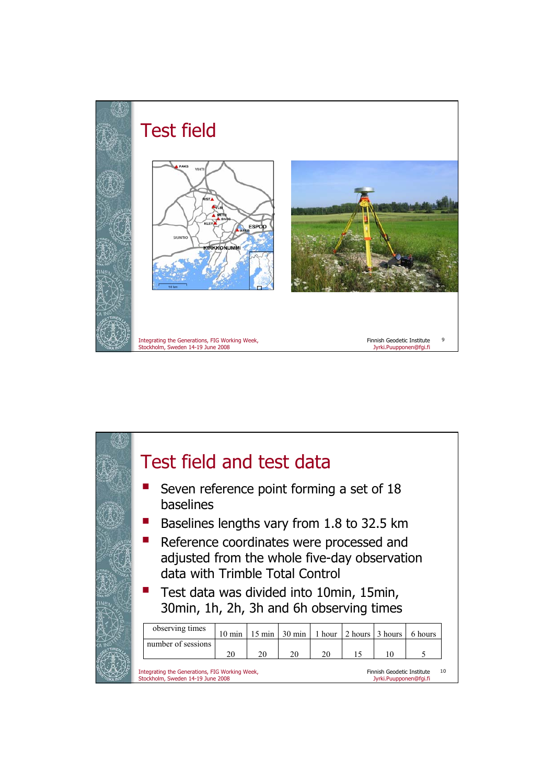

|  | Test field and test data<br>Seven reference point forming a set of 18<br>baselines                                                                                                                                  |                  |                  |                  |        |         |         |         |  |
|--|---------------------------------------------------------------------------------------------------------------------------------------------------------------------------------------------------------------------|------------------|------------------|------------------|--------|---------|---------|---------|--|
|  |                                                                                                                                                                                                                     |                  |                  |                  |        |         |         |         |  |
|  | Baselines lengths vary from 1.8 to 32.5 km                                                                                                                                                                          |                  |                  |                  |        |         |         |         |  |
|  | Reference coordinates were processed and<br>adjusted from the whole five-day observation<br>data with Trimble Total Control<br>Test data was divided into 10min, 15min,<br>30min, 1h, 2h, 3h and 6h observing times |                  |                  |                  |        |         |         |         |  |
|  |                                                                                                                                                                                                                     |                  |                  |                  |        |         |         |         |  |
|  | observing times                                                                                                                                                                                                     | $10 \text{ min}$ | $15 \text{ min}$ | $30 \text{ min}$ | 1 hour | 2 hours | 3 hours | 6 hours |  |
|  | number of sessions                                                                                                                                                                                                  | 20               | 20               | 20               | 20     | 15      | 10      | 5       |  |
|  | Integrating the Generations, FIG Working Week,<br>10<br>Finnish Geodetic Institute<br>Stockholm, Sweden 14-19 June 2008<br>Jyrki.Puupponen@fqi.fi                                                                   |                  |                  |                  |        |         |         |         |  |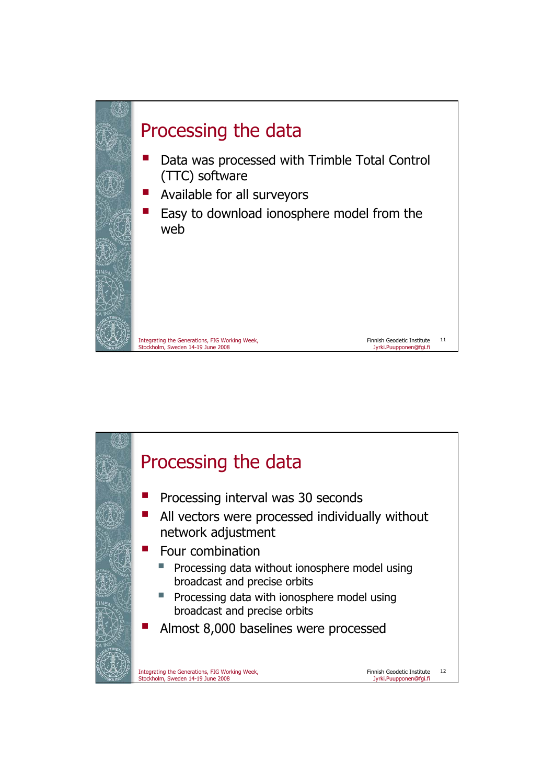

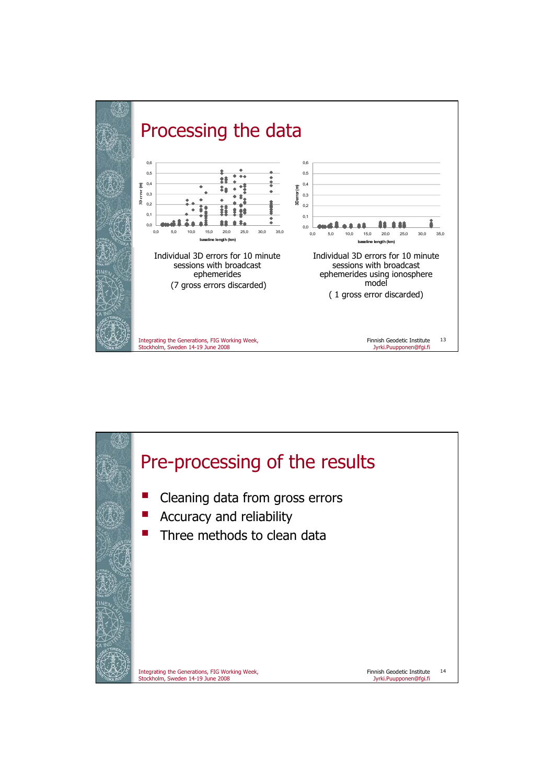

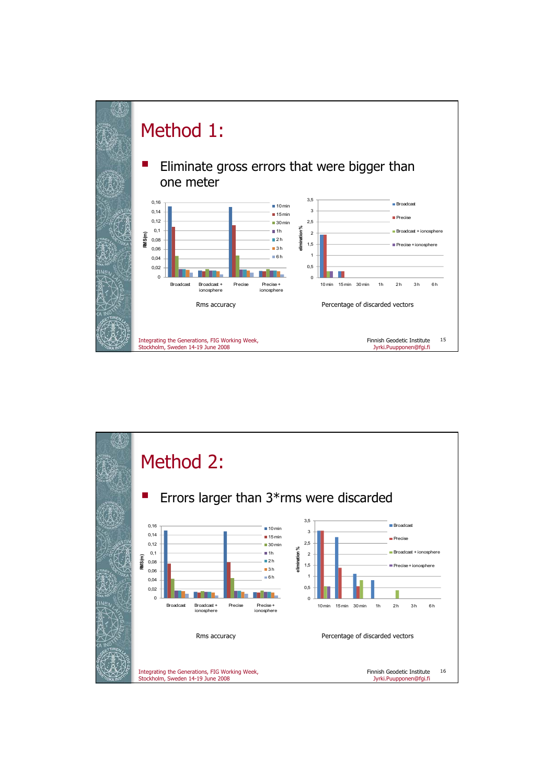

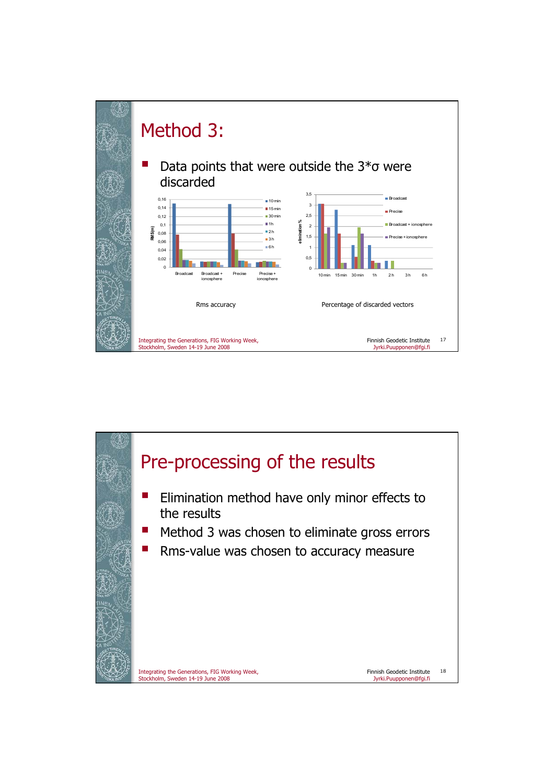

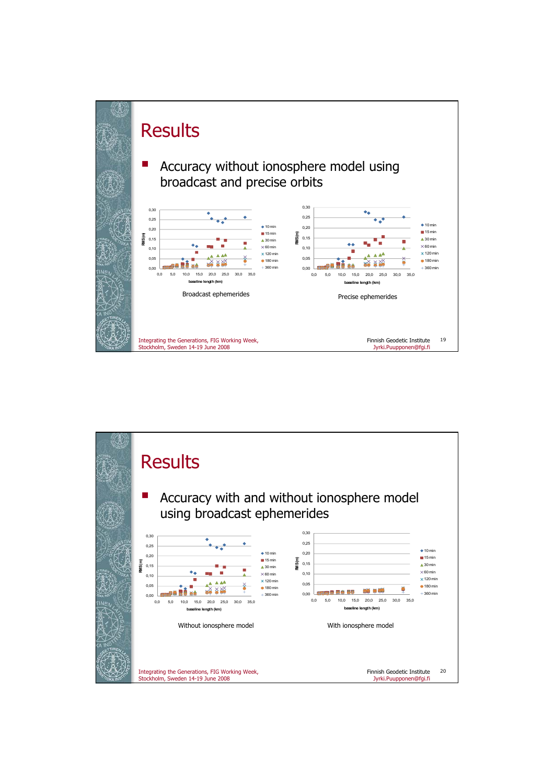

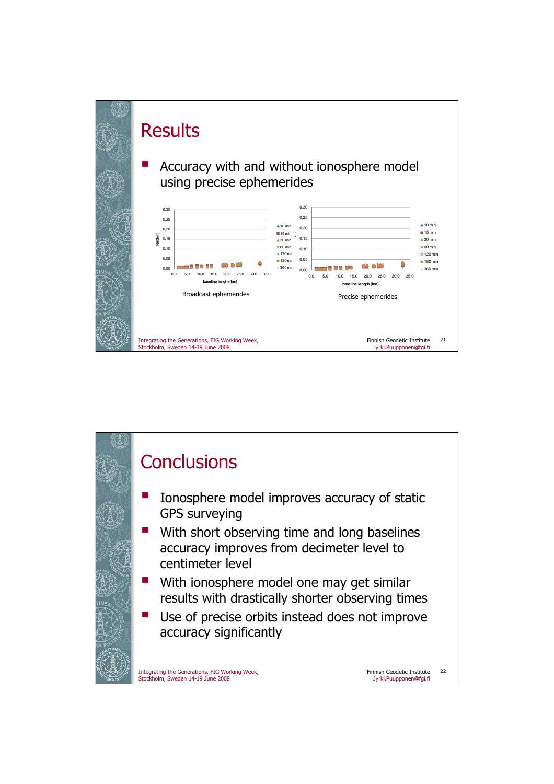